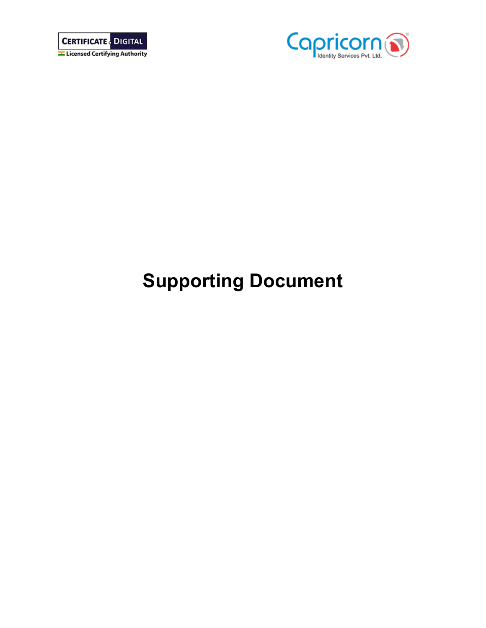



# **Supporting Document**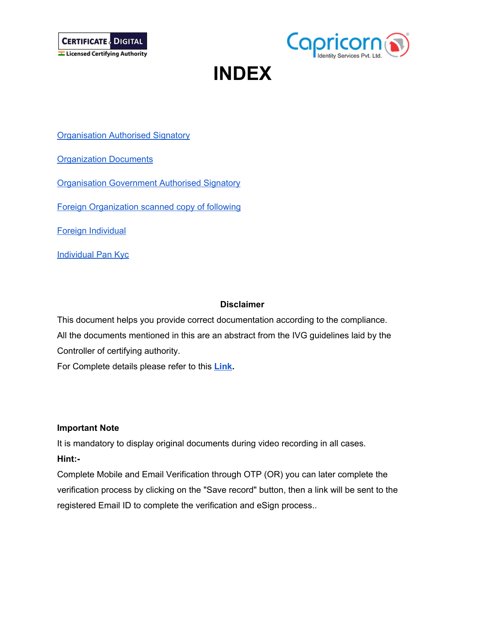



## **INDEX**

**[Organisation](#page-1-0) Authorised Signatory** 

**[Organization](#page-2-0) Documents** 

**[Organisation](#page-2-1) Government Authorised Signatory** 

Foreign [Organization](#page-3-0) scanned copy of following

Foreign [Individual](#page-3-1)

[Individual](#page-3-2) Pan Kyc

#### **Disclaimer**

This document helps you provide correct documentation according to the compliance. All the documents mentioned in this are an abstract from the IVG guidelines laid by the Controller of certifying authority.

For Complete details please refer to this **[Link](http://cca.gov.in/sites/files/pdf/guidelines/CCA-IVG.pdf).**

#### **Important Note**

It is mandatory to display original documents during video recording in all cases. **Hint:-**

<span id="page-1-0"></span>Complete Mobile and Email Verification through OTP (OR) you can later complete the verification process by clicking on the "Save record" button, then a link will be sent to the registered Email ID to complete the verification and eSign process..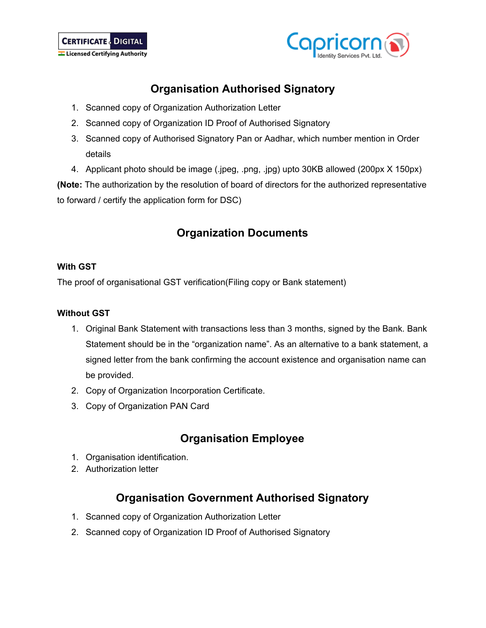



## **Organisation Authorised Signatory**

- 1. Scanned copy of Organization Authorization Letter
- 2. Scanned copy of Organization ID Proof of Authorised Signatory
- 3. Scanned copy of Authorised Signatory Pan or Aadhar, which number mention in Order details
- 4. Applicant photo should be image (.jpeg, .png, .jpg) upto 30KB allowed (200px X 150px)

**(Note:** The authorization by the resolution of board of directors for the authorized representative to forward / certify the application form for DSC)

## **Organization Documents**

#### <span id="page-2-0"></span>**With GST**

The proof of organisational GST verification(Filing copy or Bank statement)

#### **Without GST**

- 1. Original Bank Statement with transactions less than 3 months, signed by the Bank. Bank Statement should be in the "organization name". As an alternative to a bank statement, a signed letter from the bank confirming the account existence and organisation name can be provided.
- 2. Copy of Organization Incorporation Certificate.
- 3. Copy of Organization PAN Card

## **Organisation Employee**

- 1. Organisation identification.
- 2. Authorization letter

## **Organisation Government Authorised Signatory**

- <span id="page-2-1"></span>1. Scanned copy of Organization Authorization Letter
- 2. Scanned copy of Organization ID Proof of Authorised Signatory